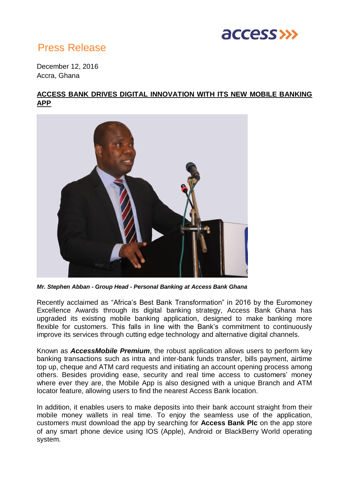

## Press Release

December 12, 2016 Accra, Ghana

## **ACCESS BANK DRIVES DIGITAL INNOVATION WITH ITS NEW MOBILE BANKING APP**



*Mr. Stephen Abban - Group Head - Personal Banking at Access Bank Ghana*

Recently acclaimed as "Africa's Best Bank Transformation" in 2016 by the Euromoney Excellence Awards through its digital banking strategy, Access Bank Ghana has upgraded its existing mobile banking application, designed to make banking more flexible for customers. This falls in line with the Bank's commitment to continuously improve its services through cutting edge technology and alternative digital channels.

Known as *AccessMobile Premium*, the robust application allows users to perform key banking transactions such as intra and inter-bank funds transfer, bills payment, airtime top up, cheque and ATM card requests and initiating an account opening process among others. Besides providing ease, security and real time access to customers' money where ever they are, the Mobile App is also designed with a unique Branch and ATM locator feature, allowing users to find the nearest Access Bank location.

In addition, it enables users to make deposits into their bank account straight from their mobile money wallets in real time. To enjoy the seamless use of the application, customers must download the app by searching for **Access Bank Plc** on the app store of any smart phone device using IOS (Apple), Android or BlackBerry World operating system.